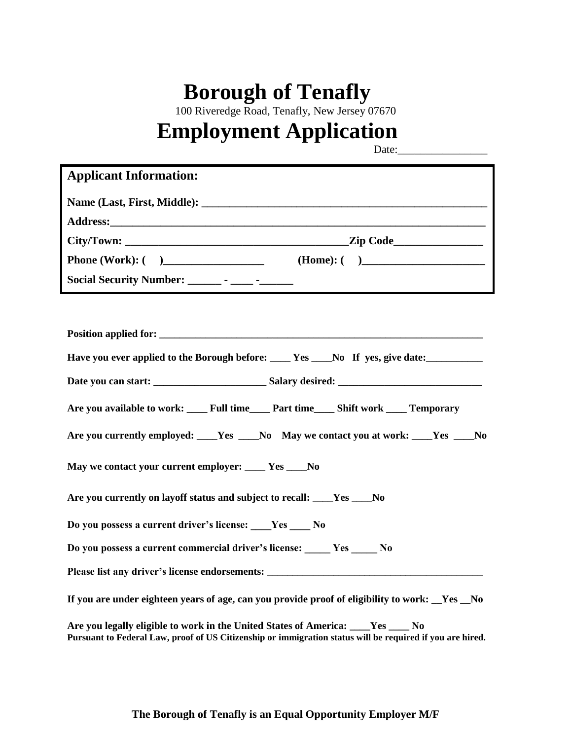## **Borough of Tenafly**

100 Riveredge Road, Tenafly, New Jersey 07670

# **Employment Application**

Date:\_

| <b>Applicant Information:</b>                                                                                                                                                                  |
|------------------------------------------------------------------------------------------------------------------------------------------------------------------------------------------------|
|                                                                                                                                                                                                |
|                                                                                                                                                                                                |
|                                                                                                                                                                                                |
|                                                                                                                                                                                                |
|                                                                                                                                                                                                |
|                                                                                                                                                                                                |
| Position applied for:                                                                                                                                                                          |
| Have you ever applied to the Borough before: ____ Yes ___No If yes, give date: _________                                                                                                       |
|                                                                                                                                                                                                |
| Are you available to work: ______ Full time______ Part time______ Shift work _____ Temporary                                                                                                   |
| Are you currently employed: ____Yes ____No May we contact you at work: ____Yes ___No                                                                                                           |
| May we contact your current employer: ____ Yes ____No                                                                                                                                          |
| Are you currently on layoff status and subject to recall: Ves No                                                                                                                               |
| Do you possess a current driver's license: Ves ____ No                                                                                                                                         |
| Do you possess a current commercial driver's license: Yes No                                                                                                                                   |
|                                                                                                                                                                                                |
| If you are under eighteen years of age, can you provide proof of eligibility to work: Yes No                                                                                                   |
| Are you legally eligible to work in the United States of America: ____Yes _____No<br>Pursuant to Federal Law, proof of US Citizenship or immigration status will be required if you are hired. |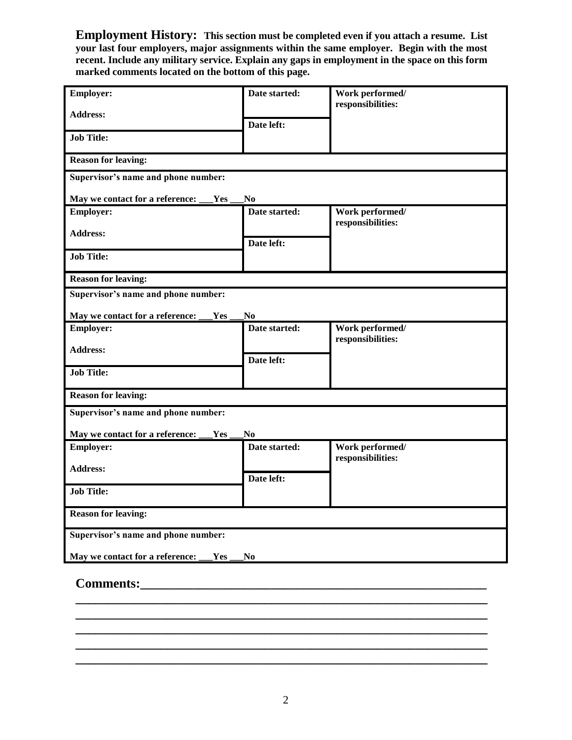**Employment History: This section must be completed even if you attach a resume. List your last four employers, major assignments within the same employer. Begin with the most recent. Include any military service. Explain any gaps in employment in the space on this form marked comments located on the bottom of this page.**

| <b>Employer:</b>                       | Date started:  | Work performed/<br>responsibilities: |  |
|----------------------------------------|----------------|--------------------------------------|--|
| <b>Address:</b>                        | Date left:     |                                      |  |
| <b>Job Title:</b>                      |                |                                      |  |
| <b>Reason for leaving:</b>             |                |                                      |  |
| Supervisor's name and phone number:    |                |                                      |  |
| May we contact for a reference:<br>Yes | N <sub>0</sub> |                                      |  |
| <b>Employer:</b>                       | Date started:  | Work performed/<br>responsibilities: |  |
| <b>Address:</b>                        | Date left:     |                                      |  |
| <b>Job Title:</b>                      |                |                                      |  |
| <b>Reason for leaving:</b>             |                |                                      |  |
| Supervisor's name and phone number:    |                |                                      |  |
| May we contact for a reference:<br>Yes | N <sub>0</sub> |                                      |  |
| <b>Employer:</b>                       | Date started:  | Work performed/<br>responsibilities: |  |
| <b>Address:</b>                        | Date left:     |                                      |  |
| <b>Job Title:</b>                      |                |                                      |  |
| <b>Reason for leaving:</b>             |                |                                      |  |
| Supervisor's name and phone number:    |                |                                      |  |
| May we contact for a reference:<br>Yes | N <sub>0</sub> |                                      |  |
| <b>Employer:</b>                       | Date started:  | Work performed/                      |  |
| <b>Address:</b>                        |                | responsibilities:                    |  |
|                                        | Date left:     |                                      |  |
| <b>Job Title:</b>                      |                |                                      |  |
| <b>Reason for leaving:</b>             |                |                                      |  |
| Supervisor's name and phone number:    |                |                                      |  |
| May we contact for a reference:<br>Yes | N <sub>0</sub> |                                      |  |
|                                        |                |                                      |  |

#### **Comments:\_\_\_\_\_\_\_\_\_\_\_\_\_\_\_\_\_\_\_\_\_\_\_\_\_\_\_\_\_\_\_\_\_\_\_\_\_\_\_\_\_\_\_\_\_\_\_\_\_\_\_\_\_**

**\_\_\_\_\_\_\_\_\_\_\_\_\_\_\_\_\_\_\_\_\_\_\_\_\_\_\_\_\_\_\_\_\_\_\_\_\_\_\_\_\_\_\_\_\_\_\_\_\_\_\_\_\_\_\_\_\_\_\_\_\_\_\_ \_\_\_\_\_\_\_\_\_\_\_\_\_\_\_\_\_\_\_\_\_\_\_\_\_\_\_\_\_\_\_\_\_\_\_\_\_\_\_\_\_\_\_\_\_\_\_\_\_\_\_\_\_\_\_\_\_\_\_\_\_\_\_ \_\_\_\_\_\_\_\_\_\_\_\_\_\_\_\_\_\_\_\_\_\_\_\_\_\_\_\_\_\_\_\_\_\_\_\_\_\_\_\_\_\_\_\_\_\_\_\_\_\_\_\_\_\_\_\_\_\_\_\_\_\_\_ \_\_\_\_\_\_\_\_\_\_\_\_\_\_\_\_\_\_\_\_\_\_\_\_\_\_\_\_\_\_\_\_\_\_\_\_\_\_\_\_\_\_\_\_\_\_\_\_\_\_\_\_\_\_\_\_\_\_\_\_\_\_\_ \_\_\_\_\_\_\_\_\_\_\_\_\_\_\_\_\_\_\_\_\_\_\_\_\_\_\_\_\_\_\_\_\_\_\_\_\_\_\_\_\_\_\_\_\_\_\_\_\_\_\_\_\_\_\_\_\_\_\_\_\_\_\_**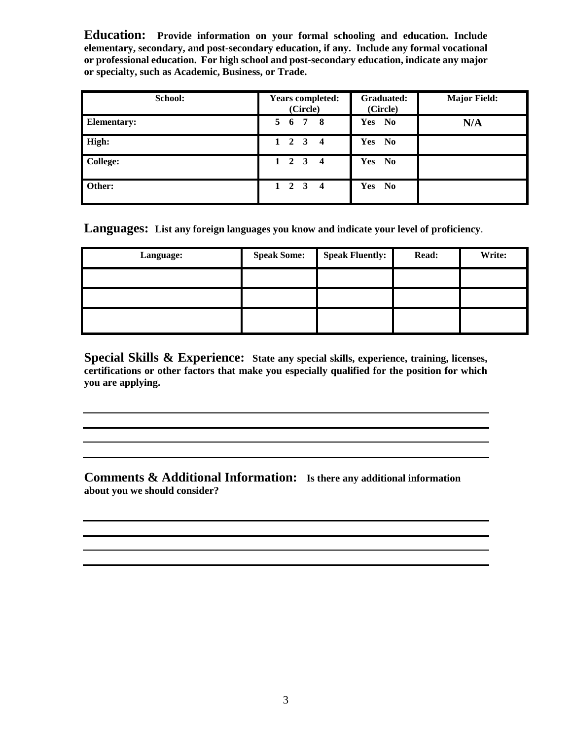**Education: Provide information on your formal schooling and education. Include elementary, secondary, and post-secondary education, if any. Include any formal vocational or professional education. For high school and post-secondary education, indicate any major or specialty, such as Academic, Business, or Trade.**

| School:            | <b>Years completed:</b><br>(Circle) | Graduated:<br>(Circle)        | <b>Major Field:</b> |
|--------------------|-------------------------------------|-------------------------------|---------------------|
| <b>Elementary:</b> | 5 6 7 8                             | Yes No                        | N/A                 |
| High:              | $1 \quad 2 \quad 3 \quad 4$         | Yes No                        |                     |
| <b>College:</b>    | $1 \quad 2 \quad 3 \quad 4$         | Yes No                        |                     |
| Other:             | $1 \quad 2 \quad 3 \quad 4$         | Yes<br>$\mathbf{N}\mathbf{0}$ |                     |

**Languages: List any foreign languages you know and indicate your level of proficiency**.

| Language: | <b>Speak Some:</b> | <b>Speak Fluently:</b> | Read: | Write: |
|-----------|--------------------|------------------------|-------|--------|
|           |                    |                        |       |        |
|           |                    |                        |       |        |
|           |                    |                        |       |        |

**Special Skills & Experience: State any special skills, experience, training, licenses, certifications or other factors that make you especially qualified for the position for which you are applying.**

**Comments & Additional Information: Is there any additional information about you we should consider?**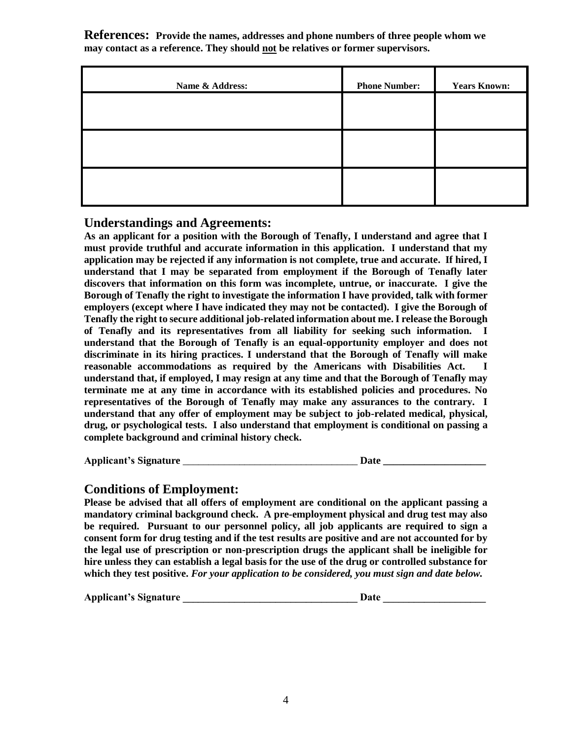**References: Provide the names, addresses and phone numbers of three people whom we may contact as a reference. They should not be relatives or former supervisors.**

| Name & Address: | <b>Phone Number:</b> | <b>Years Known:</b> |
|-----------------|----------------------|---------------------|
|                 |                      |                     |
|                 |                      |                     |
|                 |                      |                     |
|                 |                      |                     |
|                 |                      |                     |

### **Understandings and Agreements:**

**As an applicant for a position with the Borough of Tenafly, I understand and agree that I must provide truthful and accurate information in this application. I understand that my application may be rejected if any information is not complete, true and accurate. If hired, I understand that I may be separated from employment if the Borough of Tenafly later discovers that information on this form was incomplete, untrue, or inaccurate. I give the Borough of Tenafly the right to investigate the information I have provided, talk with former employers (except where I have indicated they may not be contacted). I give the Borough of Tenafly the right to secure additional job-related information about me. I release the Borough of Tenafly and its representatives from all liability for seeking such information. I understand that the Borough of Tenafly is an equal-opportunity employer and does not discriminate in its hiring practices. I understand that the Borough of Tenafly will make**  reasonable accommodations as required by the Americans with Disabilities Act. **understand that, if employed, I may resign at any time and that the Borough of Tenafly may terminate me at any time in accordance with its established policies and procedures. No representatives of the Borough of Tenafly may make any assurances to the contrary. I understand that any offer of employment may be subject to job-related medical, physical, drug, or psychological tests. I also understand that employment is conditional on passing a complete background and criminal history check.**

**Applicant's Signature** \_\_\_\_\_\_\_\_\_\_\_\_\_\_\_\_\_\_\_\_\_\_\_\_\_\_\_\_\_\_\_\_\_\_ **Date \_\_\_\_\_\_\_\_\_\_\_\_\_\_\_\_\_\_\_\_**

### **Conditions of Employment:**

**Please be advised that all offers of employment are conditional on the applicant passing a mandatory criminal background check. A pre-employment physical and drug test may also be required. Pursuant to our personnel policy, all job applicants are required to sign a consent form for drug testing and if the test results are positive and are not accounted for by the legal use of prescription or non-prescription drugs the applicant shall be ineligible for hire unless they can establish a legal basis for the use of the drug or controlled substance for which they test positive.** *For your application to be considered, you must sign and date below.*

Applicant's Signature the contraction of the contraction of the contraction of the contraction of the contraction of the contraction of the contraction of the contraction of the contraction of the contraction of the contra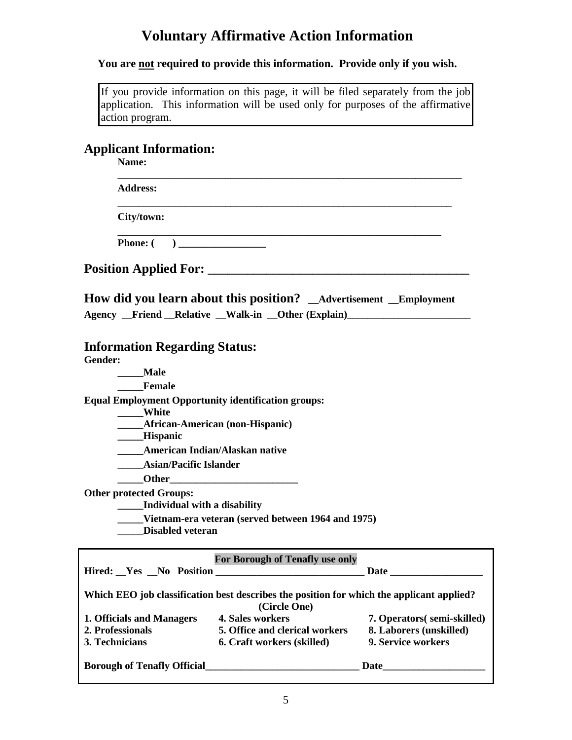### **Voluntary Affirmative Action Information**

### **You are not required to provide this information. Provide only if you wish.**

|                 | If you provide information on this page, it will be filed separately from the job |  |  |  |  |
|-----------------|-----------------------------------------------------------------------------------|--|--|--|--|
|                 | application. This information will be used only for purposes of the affirmative   |  |  |  |  |
| action program. |                                                                                   |  |  |  |  |

### **Applicant Information:**

| Name:                                                                                                                                    |                            |
|------------------------------------------------------------------------------------------------------------------------------------------|----------------------------|
| <b>Address:</b>                                                                                                                          |                            |
| City/town:                                                                                                                               |                            |
|                                                                                                                                          |                            |
|                                                                                                                                          |                            |
| How did you learn about this position? _Advertisement _Employment<br>Agency Friend Relative Walk-in Other (Explain)                      |                            |
| <b>Information Regarding Status:</b>                                                                                                     |                            |
| Gender:                                                                                                                                  |                            |
| ___Male<br><b>Female</b>                                                                                                                 |                            |
|                                                                                                                                          |                            |
| <b>Equal Employment Opportunity identification groups:</b><br>____White                                                                  |                            |
| <b>_____African-American (non-Hispanic)</b>                                                                                              |                            |
| ____Hispanic                                                                                                                             |                            |
| <b>American Indian/Alaskan native</b>                                                                                                    |                            |
| <b>Asian/Pacific Islander</b>                                                                                                            |                            |
|                                                                                                                                          |                            |
| <b>Other protected Groups:</b><br><b>Individual with a disability</b>                                                                    |                            |
| Vietnam-era veteran (served between 1964 and 1975)<br><b>Disabled veteran</b>                                                            |                            |
| <b>For Borough of Tenafly use only</b>                                                                                                   |                            |
| Hired: Yes No Position                                                                                                                   | Date                       |
| Which EEO job classification best describes the position for which the applicant applied?<br>(Circle One)                                |                            |
| 1. Officials and Managers<br><b>4. Sales workers</b>                                                                                     | 7. Operators(semi-skilled) |
| 2. Professionals<br>5. Office and clerical workers                                                                                       | 8. Laborers (unskilled)    |
| 3. Technicians<br>6. Craft workers (skilled)                                                                                             | 9. Service workers         |
| Borough of Tenafly Official <b>Example 2018</b> Date <b>Date Date Date Date Date Date Date Date Date Date Date Date Date Date Date D</b> |                            |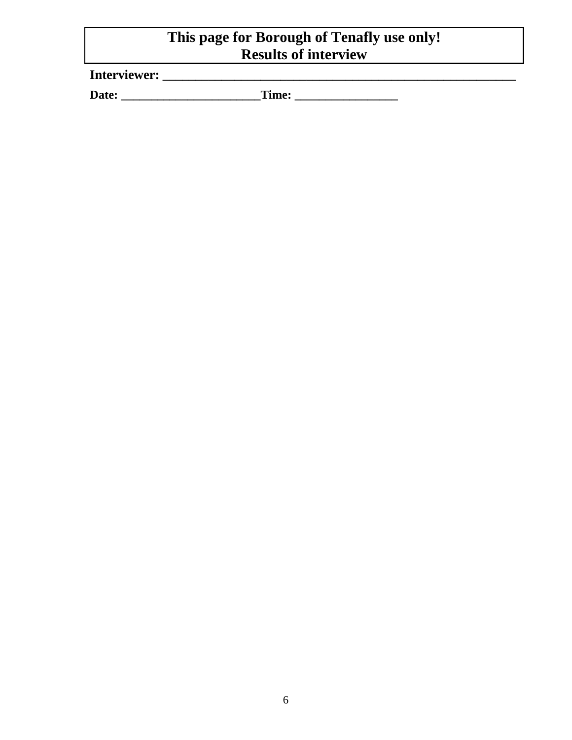### **This page for Borough of Tenafly use only! Results of interview**

**Interviewer: \_\_\_\_\_\_\_\_\_\_\_\_\_\_\_\_\_\_\_\_\_\_\_\_\_\_\_\_\_\_\_\_\_\_\_\_\_\_\_\_\_\_\_\_\_\_\_\_\_\_\_\_\_\_**

**Date: \_\_\_\_\_\_\_\_\_\_\_\_\_\_\_\_\_\_\_\_\_\_\_Time: \_\_\_\_\_\_\_\_\_\_\_\_\_\_\_\_\_**